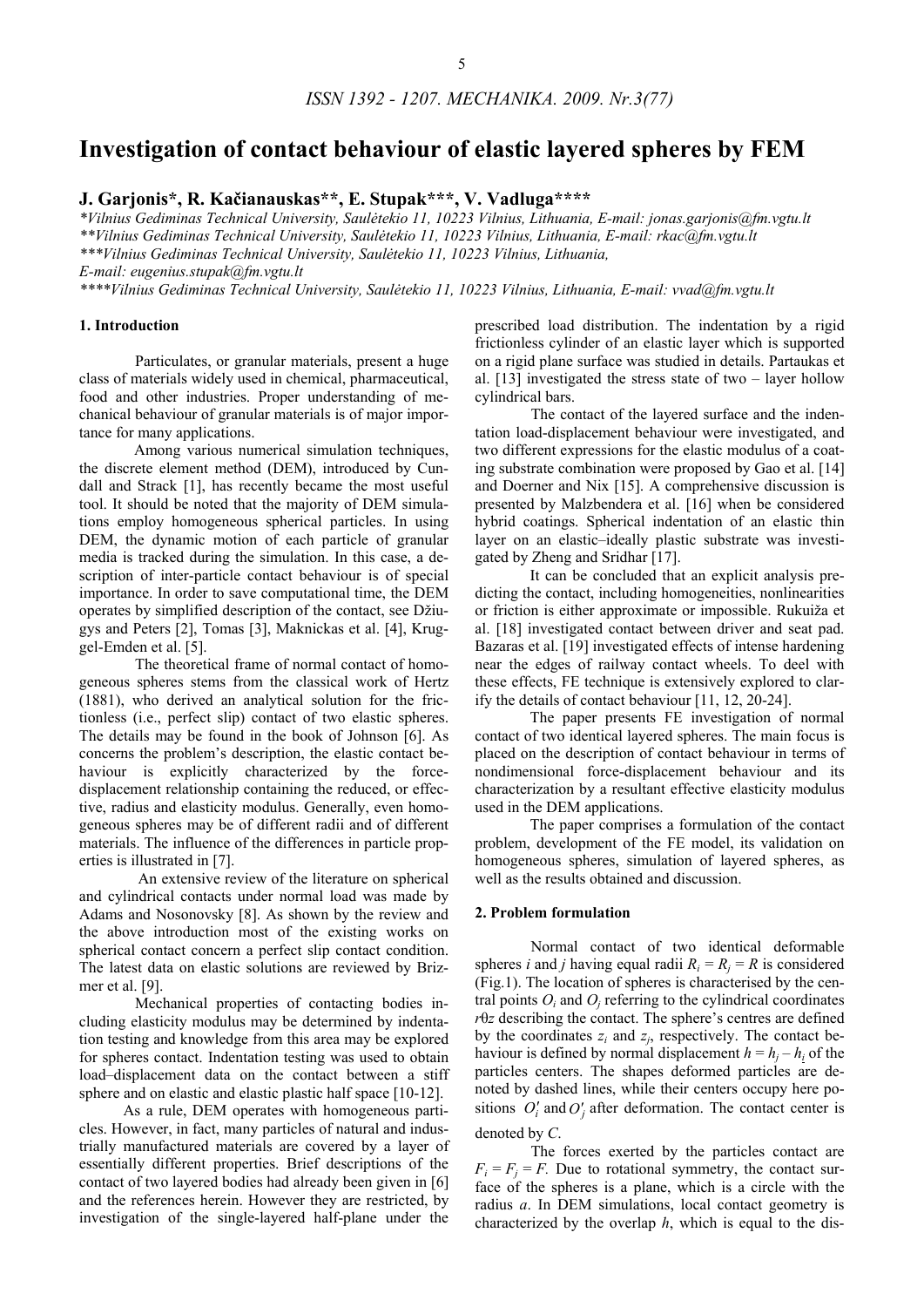# **Investigation of contact behaviour of elastic layered spheres by FEM**

**J. Garjonis\*, R. Kačianauskas\*\*, E. Stupak\*\*\*, V. Vadluga\*\*\*\*** 

*\*Vilnius Gediminas Technical University, Saulėtekio 11, 10223 Vilnius, Lithuania, E-mail: jonas.garjonis@fm.vgtu.lt \*\*Vilnius Gediminas Technical University, Saulėtekio 11, 10223 Vilnius, Lithuania, E-mail: rkac@fm.vgtu.lt \*\*\*Vilnius Gediminas Technical University, Saulėtekio 11, 10223 Vilnius, Lithuania, E-mail: eugenius.stupak@fm.vgtu.lt* 

*\*\*\*\*Vilnius Gediminas Technical University, Saulėtekio 11, 10223 Vilnius, Lithuania, E-mail: vvad@fm.vgtu.lt* 

#### **1. Introduction**

Particulates, or granular materials, present a huge class of materials widely used in chemical, pharmaceutical, food and other industries. Proper understanding of mechanical behaviour of granular materials is of major importance for many applications.

Among various numerical simulation techniques, the discrete element method (DEM), introduced by Cundall and Strack [1], has recently became the most useful tool. It should be noted that the majority of DEM simulations employ homogeneous spherical particles. In using DEM, the dynamic motion of each particle of granular media is tracked during the simulation. In this case, a description of inter-particle contact behaviour is of special importance. In order to save computational time, the DEM operates by simplified description of the contact, see Džiugys and Peters [2], Tomas [3], Maknickas et al. [4], Kruggel-Emden et al. [5].

The theoretical frame of normal contact of homogeneous spheres stems from the classical work of Hertz (1881), who derived an analytical solution for the frictionless (i.e., perfect slip) contact of two elastic spheres. The details may be found in the book of Johnson [6]. As concerns the problem's description, the elastic contact behaviour is explicitly characterized by the forcedisplacement relationship containing the reduced, or effective, radius and elasticity modulus. Generally, even homogeneous spheres may be of different radii and of different materials. The influence of the differences in particle properties is illustrated in [7].

 An extensive review of the literature on spherical and cylindrical contacts under normal load was made by Adams and Nosonovsky [8]. As shown by the review and the above introduction most of the existing works on spherical contact concern a perfect slip contact condition. The latest data on elastic solutions are reviewed by Brizmer et al. [9].

Mechanical properties of contacting bodies including elasticity modulus may be determined by indentation testing and knowledge from this area may be explored for spheres contact. Indentation testing was used to obtain load–displacement data on the contact between a stiff sphere and on elastic and elastic plastic half space [10-12].

As a rule, DEM operates with homogeneous particles. However, in fact, many particles of natural and industrially manufactured materials are covered by a layer of essentially different properties. Brief descriptions of the contact of two layered bodies had already been given in [6] and the references herein. However they are restricted, by investigation of the single-layered half-plane under the

prescribed load distribution. The indentation by a rigid frictionless cylinder of an elastic layer which is supported on a rigid plane surface was studied in details. Partaukas et al. [13] investigated the stress state of two – layer hollow cylindrical bars.

The contact of the layered surface and the indentation load-displacement behaviour were investigated, and two different expressions for the elastic modulus of a coating substrate combination were proposed by Gao et al. [14] and Doerner and Nix [15]. A comprehensive discussion is presented by Malzbendera et al. [16] when be considered hybrid coatings. Spherical indentation of an elastic thin layer on an elastic–ideally plastic substrate was investigated by Zheng and Sridhar [17].

It can be concluded that an explicit analysis predicting the contact, including homogeneities, nonlinearities or friction is either approximate or impossible. Rukuiža et al. [18] investigated contact between driver and seat pad. Bazaras et al. [19] investigated effects of intense hardening near the edges of railway contact wheels. To deel with these effects, FE technique is extensively explored to clarify the details of contact behaviour [11, 12, 20-24].

The paper presents FE investigation of normal contact of two identical layered spheres. The main focus is placed on the description of contact behaviour in terms of nondimensional force-displacement behaviour and its characterization by a resultant effective elasticity modulus used in the DEM applications.

The paper comprises a formulation of the contact problem, development of the FE model, its validation on homogeneous spheres, simulation of layered spheres, as well as the results obtained and discussion.

#### **2. Problem formulation**

Normal contact of two identical deformable spheres *i* and *j* having equal radii  $R_i = R_j = R$  is considered (Fig.1). The location of spheres is characterised by the central points  $O_i$  and  $O_j$  referring to the cylindrical coordinates *r*θ*z* describing the contact. The sphere's centres are defined by the coordinates  $z_i$  and  $z_j$ , respectively. The contact behaviour is defined by normal displacement  $h = h_i - h_i$  of the particles centers. The shapes deformed particles are denoted by dashed lines, while their centers occupy here positions  $O_i'$  and  $O_j'$  after deformation. The contact center is denoted by *C*.

The forces exerted by the particles contact are  $F_i = F_i = F$ . Due to rotational symmetry, the contact surface of the spheres is a plane, which is a circle with the radius *a*. In DEM simulations, local contact geometry is characterized by the overlap *h*, which is equal to the dis-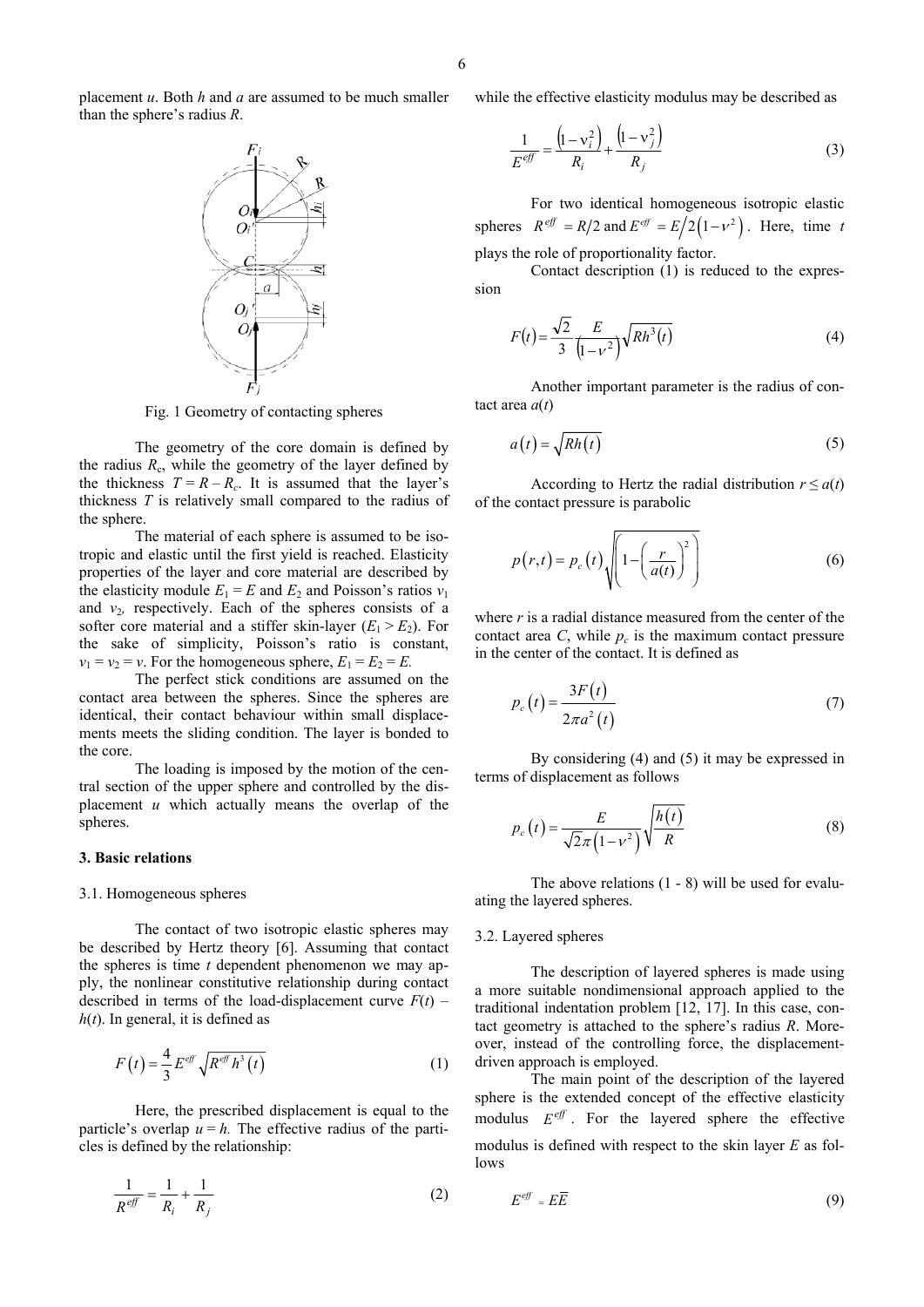placement *u*. Both *h* and *a* are assumed to be much smaller than the sphere's radius *R*.



The geometry of the core domain is defined by the radius  $R_c$ , while the geometry of the layer defined by the thickness  $T = R - R_c$ . It is assumed that the layer's thickness *T* is relatively small compared to the radius of the sphere.

The material of each sphere is assumed to be isotropic and elastic until the first yield is reached. Elasticity properties of the layer and core material are described by the elasticity module  $E_1 = E$  and  $E_2$  and Poisson's ratios  $v_1$ and  $v_2$ , respectively. Each of the spheres consists of a softer core material and a stiffer skin-layer  $(E_1 > E_2)$ . For the sake of simplicity, Poisson's ratio is constant,  $v_1 = v_2 = v$ . For the homogeneous sphere,  $E_1 = E_2 = E$ .

The perfect stick conditions are assumed on the contact area between the spheres. Since the spheres are identical, their contact behaviour within small displacements meets the sliding condition. The layer is bonded to the core.

The loading is imposed by the motion of the central section of the upper sphere and controlled by the displacement *u* which actually means the overlap of the spheres.

## **3. Basic relations**

#### 3.1. Homogeneous spheres

The contact of two isotropic elastic spheres may be described by Hertz theory [6]. Assuming that contact the spheres is time *t* dependent phenomenon we may apply, the nonlinear constitutive relationship during contact described in terms of the load-displacement curve  $F(t)$  –  $h(t)$ . In general, it is defined as

$$
F(t) = \frac{4}{3} E^{eff} \sqrt{R^{eff} h^3(t)}
$$
 (1)

Here, the prescribed displacement is equal to the particle's overlap  $u = h$ . The effective radius of the particles is defined by the relationship:

$$
\frac{1}{R^{eff}} = \frac{1}{R_i} + \frac{1}{R_j} \tag{2}
$$

while the effective elasticity modulus may be described as

$$
\frac{1}{E^{eff}} = \frac{\left(1 - v_i^2\right)}{R_i} + \frac{\left(1 - v_j^2\right)}{R_j} \tag{3}
$$

For two identical homogeneous isotropic elastic spheres  $R^{eff} = R/2$  and  $E^{eff} = E/2(1 - v^2)$ . Here, time *t* plays the role of proportionality factor.

Contact description (1) is reduced to the expression

$$
F(t) = \frac{\sqrt{2}}{3} \frac{E}{(1 - v^2)} \sqrt{Rh^3(t)}
$$
 (4)

Another important parameter is the radius of contact area *a*(*t*)

$$
a(t) = \sqrt{Rh(t)}
$$
 (5)

According to Hertz the radial distribution  $r \leq a(t)$ of the contact pressure is parabolic

$$
p(r,t) = p_c(t) \sqrt{1 - \left(\frac{r}{a(t)}\right)^2} \tag{6}
$$

where *r* is a radial distance measured from the center of the contact area  $C$ , while  $p_c$  is the maximum contact pressure in the center of the contact. It is defined as

$$
p_c(t) = \frac{3F(t)}{2\pi a^2(t)}\tag{7}
$$

By considering (4) and (5) it may be expressed in terms of displacement as follows

$$
p_c(t) = \frac{E}{\sqrt{2\pi (1 - v^2)}} \sqrt{\frac{h(t)}{R}}
$$
 (8)

The above relations (1 - 8) will be used for evaluating the layered spheres.

#### 3.2. Layered spheres

The description of layered spheres is made using a more suitable nondimensional approach applied to the traditional indentation problem [12, 17]. In this case, contact geometry is attached to the sphere's radius *R*. Moreover, instead of the controlling force, the displacementdriven approach is employed.

The main point of the description of the layered sphere is the extended concept of the effective elasticity modulus  $E^{eff}$ . For the layered sphere the effective modulus is defined with respect to the skin layer *E* as follows

$$
E^{eff} = E\overline{E}
$$
 (9)

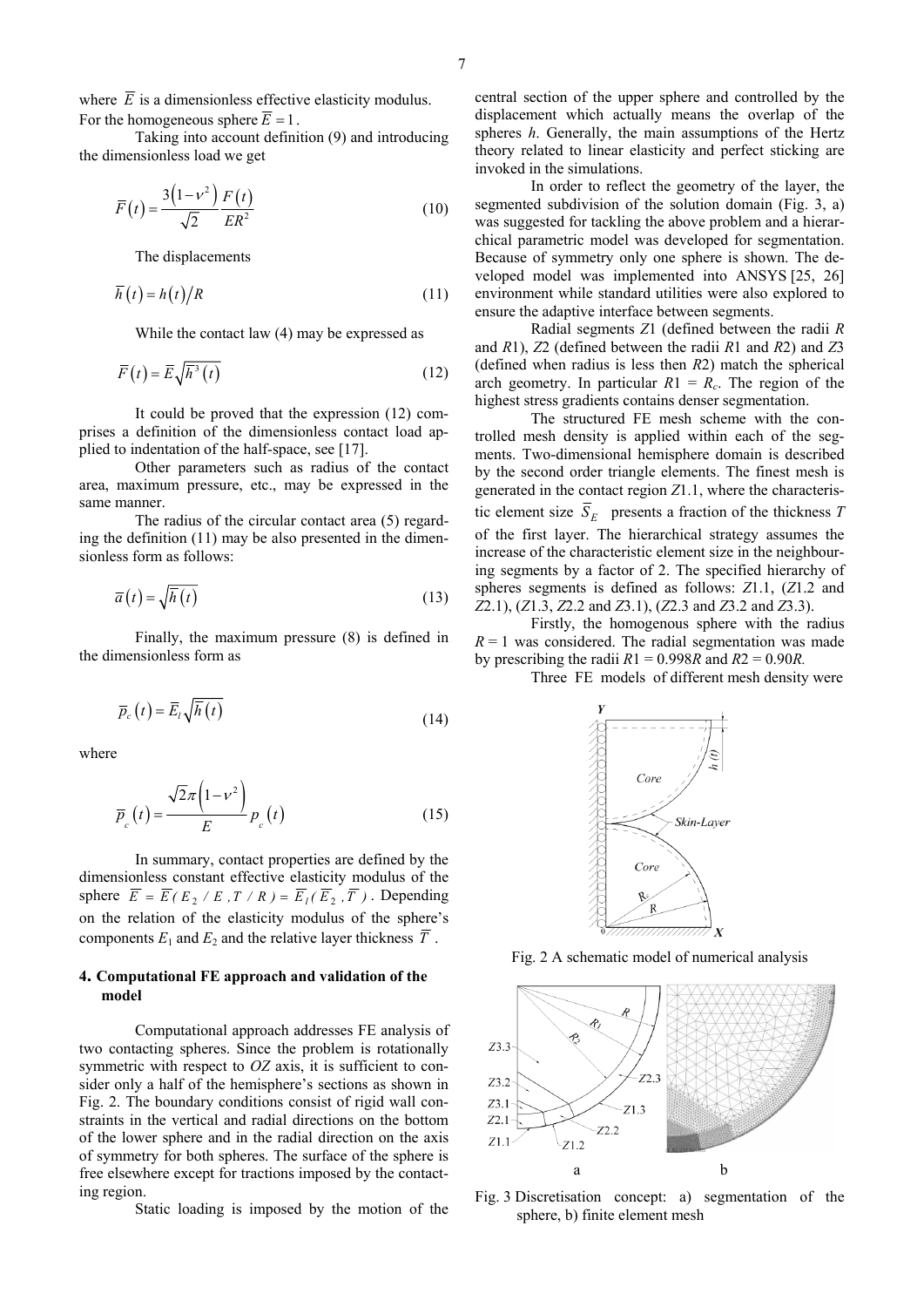where  $\overline{E}$  is a dimensionless effective elasticity modulus. For the homogeneous sphere  $\overline{E} = 1$ .

Taking into account definition (9) and introducing the dimensionless load we get

$$
\overline{F}(t) = \frac{3(1 - v^2)}{\sqrt{2}} \frac{F(t)}{ER^2}
$$
 (10)

The displacements

$$
\overline{h}(t) = h(t)/R
$$
 (11)

While the contact law (4) may be expressed as

$$
\overline{F}(t) = \overline{E}\sqrt{\overline{h}^3(t)}\tag{12}
$$

It could be proved that the expression (12) comprises a definition of the dimensionless contact load applied to indentation of the half-space, see [17].

Other parameters such as radius of the contact area, maximum pressure, etc., may be expressed in the same manner.

The radius of the circular contact area (5) regarding the definition (11) may be also presented in the dimensionless form as follows:

$$
\overline{a}(t) = \sqrt{\overline{h}(t)}\tag{13}
$$

Finally, the maximum pressure (8) is defined in the dimensionless form as

$$
\overline{p}_c(t) = \overline{E}_t \sqrt{\overline{h}(t)}
$$
\n(14)

where

$$
\overline{p}_c(t) = \frac{\sqrt{2}\pi \left(1 - v^2\right)}{E} p_c(t)
$$
\n(15)

In summary, contact properties are defined by the dimensionless constant effective elasticity modulus of the sphere  $\overline{E} = \overline{E} (E_2 / E_1, T / R) = \overline{E_1} (\overline{E_2}, \overline{T})$ . Depending on the relation of the elasticity modulus of the sphere's components  $E_1$  and  $E_2$  and the relative layer thickness  $\overline{T}$ .

# **4. Computational FE approach and validation of the model**

Computational approach addresses FE analysis of two contacting spheres. Since the problem is rotationally symmetric with respect to *OZ* axis, it is sufficient to consider only a half of the hemisphere's sections as shown in Fig. 2. The boundary conditions consist of rigid wall constraints in the vertical and radial directions on the bottom of the lower sphere and in the radial direction on the axis of symmetry for both spheres. The surface of the sphere is free elsewhere except for tractions imposed by the contacting region.

Static loading is imposed by the motion of the

central section of the upper sphere and controlled by the displacement which actually means the overlap of the spheres *h*. Generally, the main assumptions of the Hertz theory related to linear elasticity and perfect sticking are invoked in the simulations.

In order to reflect the geometry of the layer, the segmented subdivision of the solution domain (Fig. 3, a) was suggested for tackling the above problem and a hierarchical parametric model was developed for segmentation. Because of symmetry only one sphere is shown. The developed model was implemented into ANSYS [25, 26] environment while standard utilities were also explored to ensure the adaptive interface between segments.

Radial segments *Z*1 (defined between the radii *R* and *R*1), *Z*2 (defined between the radii *R*1 and *R*2) and *Z*3 (defined when radius is less then *R*2) match the spherical arch geometry. In particular  $R1 = R<sub>c</sub>$ . The region of the highest stress gradients contains denser segmentation.

The structured FE mesh scheme with the controlled mesh density is applied within each of the segments. Two-dimensional hemisphere domain is described by the second order triangle elements. The finest mesh is generated in the contact region *Z*1.1, where the characteristic element size  $\overline{S}_E$  presents a fraction of the thickness *T* of the first layer. The hierarchical strategy assumes the increase of the characteristic element size in the neighbouring segments by a factor of 2. The specified hierarchy of spheres segments is defined as follows: *Z*1.1, (*Z*1.2 and *Z*2.1), (*Z*1.3, *Z*2.2 and *Z*3.1), (*Z*2.3 and *Z*3.2 and *Z*3.3).

Firstly, the homogenous sphere with the radius  $R = 1$  was considered. The radial segmentation was made by prescribing the radii  $R1 = 0.998R$  and  $R2 = 0.90R$ .

Three FE models of different mesh density were



Fig. 2 A schematic model of numerical analysis



Fig. 3 Discretisation concept: a) segmentation of the sphere, b) finite element mesh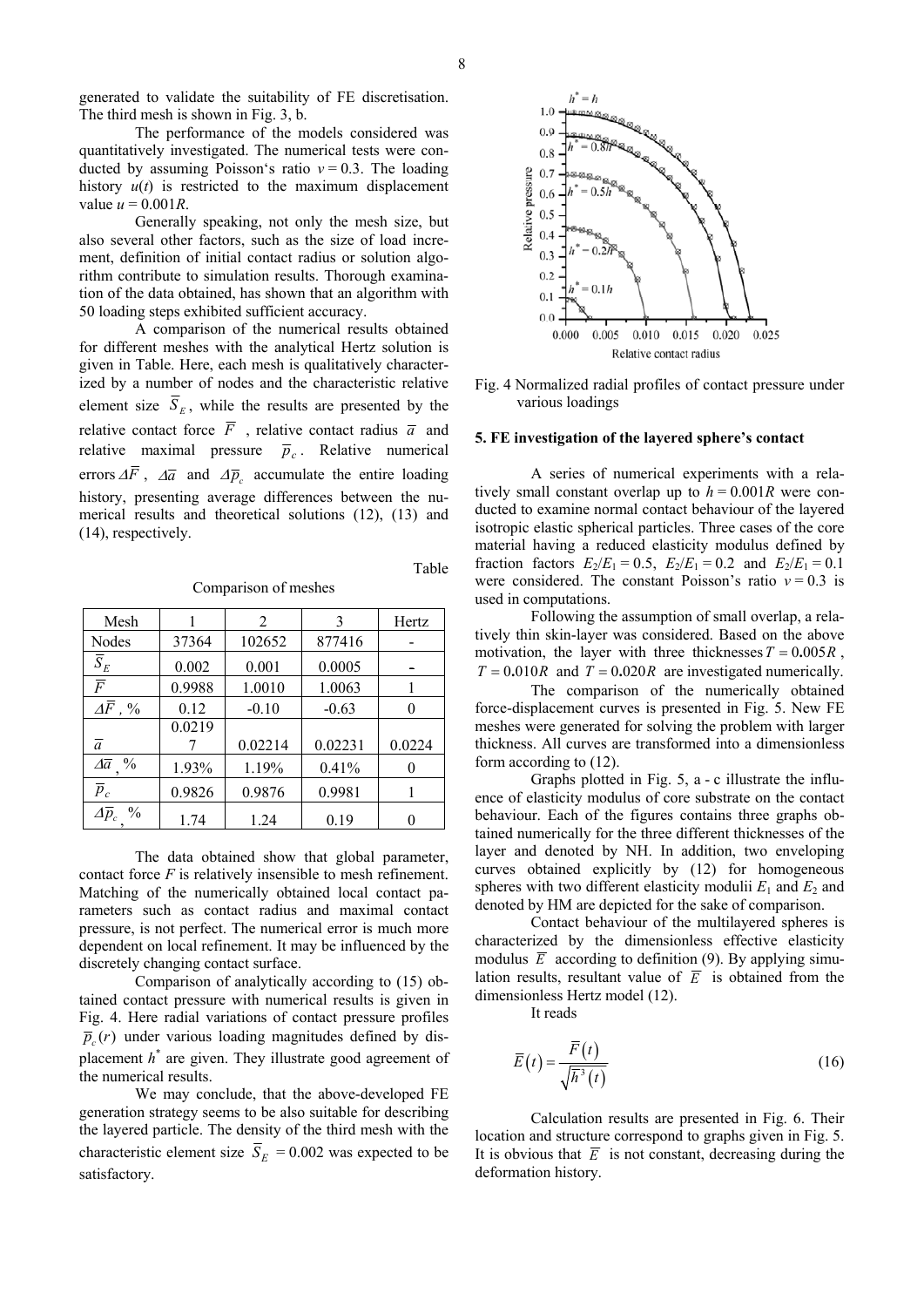8

generated to validate the suitability of FE discretisation. The third mesh is shown in Fig. 3, b.

The performance of the models considered was quantitatively investigated. The numerical tests were conducted by assuming Poisson's ratio *ν* = 0.3. The loading history  $u(t)$  is restricted to the maximum displacement value  $u = 0.001R$ .

Generally speaking, not only the mesh size, but also several other factors, such as the size of load increment, definition of initial contact radius or solution algorithm contribute to simulation results. Thorough examination of the data obtained, has shown that an algorithm with 50 loading steps exhibited sufficient accuracy.

A comparison of the numerical results obtained for different meshes with the analytical Hertz solution is given in Table. Here, each mesh is qualitatively characterized by a number of nodes and the characteristic relative element size  $\overline{S}_E$ , while the results are presented by the relative contact force  $\overline{F}$ , relative contact radius  $\overline{a}$  and relative maximal pressure  $\bar{p}_c$ . Relative numerical errors  $\Delta \overline{F}$ ,  $\Delta \overline{a}$  and  $\Delta \overline{p}$  accumulate the entire loading history, presenting average differences between the numerical results and theoretical solutions (12), (13) and (14), respectively.

Comparison of meshes

| Mesh                                       |        | 2       | 3       | Hertz  |
|--------------------------------------------|--------|---------|---------|--------|
| Nodes                                      | 37364  | 102652  | 877416  |        |
| $\overline{S}_E$                           | 0.002  | 0.001   | 0.0005  |        |
| $\overline{F}$                             | 0.9988 | 1.0010  | 1.0063  |        |
| $\varDelta\!bar{F}$ , %                    | 0.12   | $-0.10$ | $-0.63$ |        |
|                                            | 0.0219 |         |         |        |
| $\bar{a}$                                  |        | 0.02214 | 0.02231 | 0.0224 |
| $\Delta \overline{a}$ %                    | 1.93%  | 1.19%   | 0.41%   |        |
| $\overline{p}_c$                           | 0.9826 | 0.9876  | 0.9981  |        |
| $\varDelta\overline{p}_c$<br>$\frac{0}{0}$ | 1.74   | 1.24    | 0.19    |        |

The data obtained show that global parameter, contact force  $F$  is relatively insensible to mesh refinement. Matching of the numerically obtained local contact parameters such as contact radius and maximal contact pressure, is not perfect. The numerical error is much more dependent on local refinement. It may be influenced by the discretely changing contact surface.

Comparison of analytically according to (15) obtained contact pressure with numerical results is given in Fig. 4. Here radial variations of contact pressure profiles  $\overline{p}_c(r)$  under various loading magnitudes defined by displacement *h*\* are given. They illustrate good agreement of the numerical results.

We may conclude, that the above-developed FE generation strategy seems to be also suitable for describing the layered particle. The density of the third mesh with the characteristic element size  $\overline{S}_E = 0.002$  was expected to be satisfactory.



Fig. 4 Normalized radial profiles of contact pressure under various loadings

#### **5. FE investigation of the layered sphere's contact**

A series of numerical experiments with a relatively small constant overlap up to  $h = 0.001R$  were conducted to examine normal contact behaviour of the layered isotropic elastic spherical particles. Three cases of the core material having a reduced elasticity modulus defined by fraction factors  $E_2/E_1 = 0.5$ ,  $E_2/E_1 = 0.2$  and  $E_2/E_1 = 0.1$ were considered. The constant Poisson's ratio *ν* = 0.3 is used in computations.

Following the assumption of small overlap, a relatively thin skin-layer was considered. Based on the above motivation, the layer with three thicknesses  $T = 0.005R$ ,  $T = 0.010R$  and  $T = 0.020R$  are investigated numerically.

The comparison of the numerically obtained force-displacement curves is presented in Fig. 5. New FE meshes were generated for solving the problem with larger thickness. All curves are transformed into a dimensionless form according to (12).

Graphs plotted in Fig. 5, a - c illustrate the influence of elasticity modulus of core substrate on the contact behaviour. Each of the figures contains three graphs obtained numerically for the three different thicknesses of the layer and denoted by NH. In addition, two enveloping curves obtained explicitly by (12) for homogeneous spheres with two different elasticity modulii  $E_1$  and  $E_2$  and denoted by HM are depicted for the sake of comparison.

Contact behaviour of the multilayered spheres is characterized by the dimensionless effective elasticity modulus  $\overline{E}$  according to definition (9). By applying simulation results, resultant value of  $\overline{E}$  is obtained from the dimensionless Hertz model (12).

It reads

$$
\overline{E}(t) = \frac{\overline{F}(t)}{\sqrt{\overline{h}^3}(t)}
$$
\n(16)

Calculation results are presented in Fig. 6. Their location and structure correspond to graphs given in Fig. 5. It is obvious that  $\overline{E}$  is not constant, decreasing during the deformation history.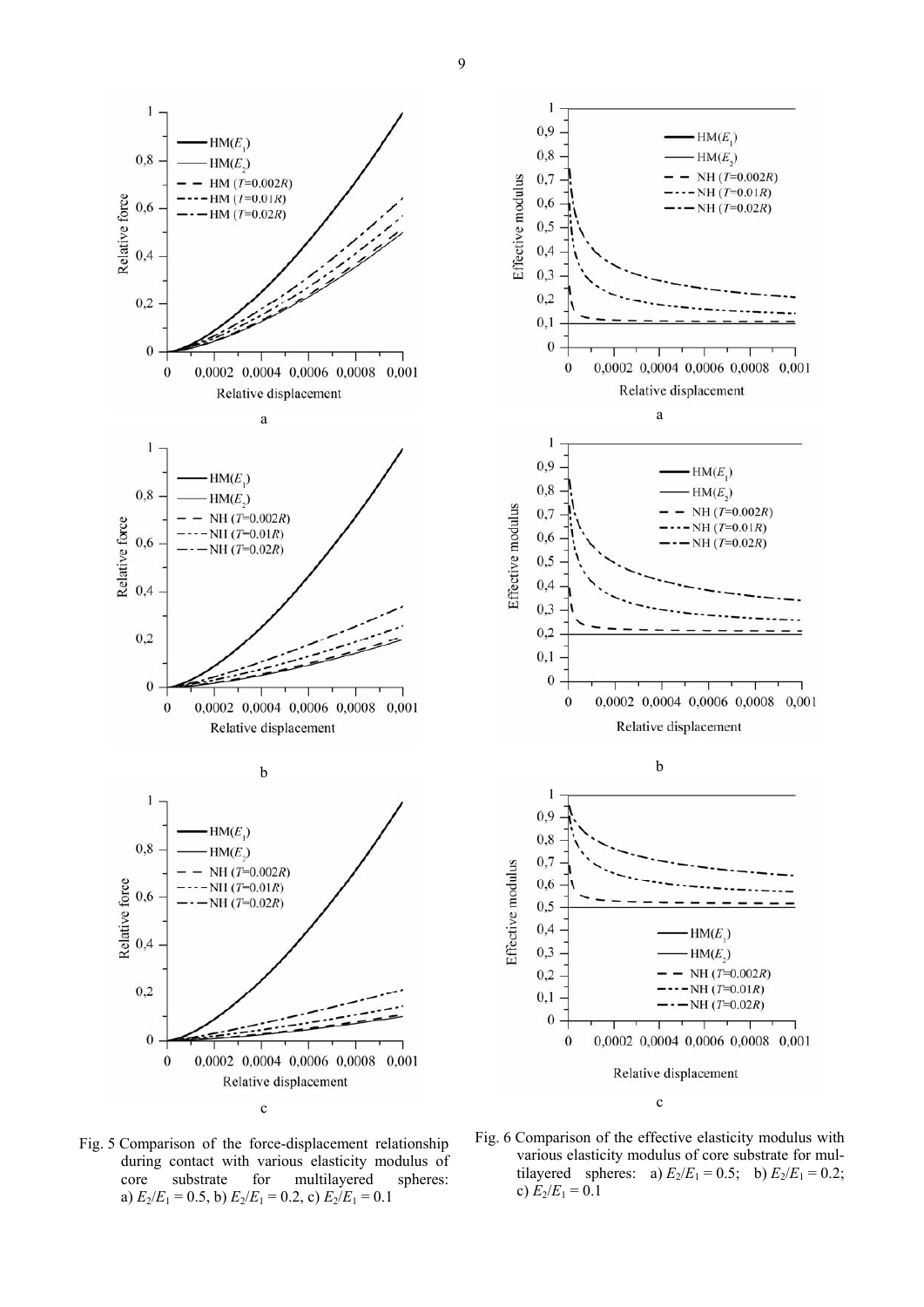



Fig. 5 Comparison of the force-displacement relationship during contact with various elasticity modulus of core substrate for multilayered spheres: a)  $E_2/E_1 = 0.5$ , b)  $E_2/E_1 = 0.2$ , c)  $E_2/E_1 = 0.1$ 

Fig. 6 Comparison of the effective elasticity modulus with various elasticity modulus of core substrate for multilayered spheres: a)  $E_2/E_1 = 0.5$ ; b)  $E_2/E_1 = 0.2$ ; c)  $E_2/E_1 = 0.1$ 

9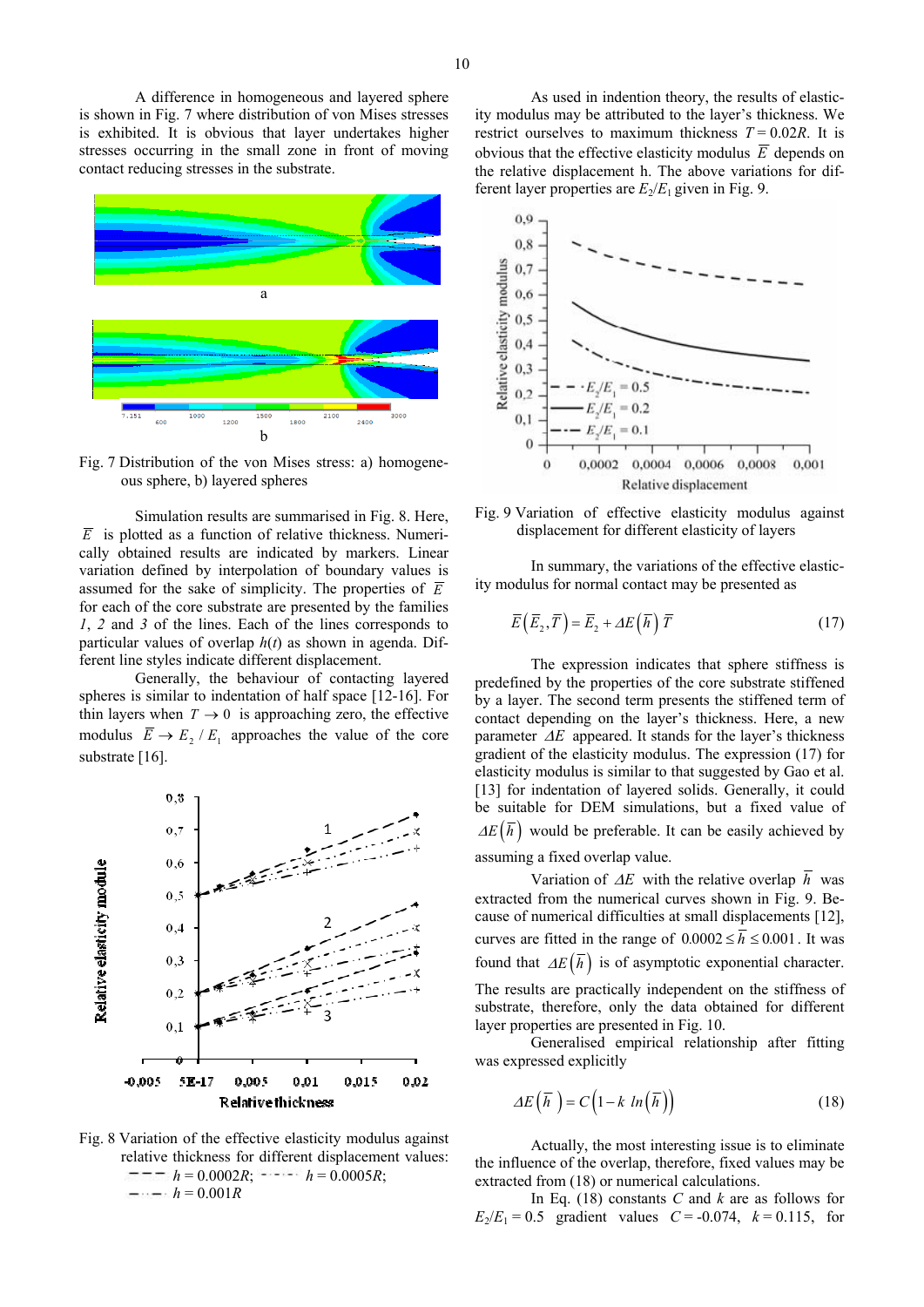A difference in homogeneous and layered sphere is shown in Fig. 7 where distribution of von Mises stresses is exhibited. It is obvious that layer undertakes higher stresses occurring in the small zone in front of moving contact reducing stresses in the substrate.



Fig. 7 Distribution of the von Mises stress: a) homogeneous sphere, b) layered spheres

Simulation results are summarised in Fig. 8. Here,  $\overline{E}$  is plotted as a function of relative thickness. Numerically obtained results are indicated by markers. Linear variation defined by interpolation of boundary values is assumed for the sake of simplicity. The properties of  $\overline{E}$ for each of the core substrate are presented by the families *1*, *2* and *3* of the lines. Each of the lines corresponds to particular values of overlap *h*(*t*) as shown in agenda. Different line styles indicate different displacement.

Generally, the behaviour of contacting layered spheres is similar to indentation of half space [12-16]. For thin layers when  $T \rightarrow 0$  is approaching zero, the effective modulus  $\overline{E} \rightarrow E$ , /  $E_1$  approaches the value of the core substrate [16].



Fig. 8 Variation of the effective elasticity modulus against relative thickness for different displacement values:  $\lambda = -1$   $h = 0.0002R$ ;  $\lambda = 0.0005R$ ;  $-$ *h* = 0.001*R* 

As used in indention theory, the results of elasticity modulus may be attributed to the layer's thickness. We restrict ourselves to maximum thickness  $T = 0.02R$ . It is obvious that the effective elasticity modulus  $\overline{E}$  depends on the relative displacement h. The above variations for different layer properties are  $E_2/E_1$  given in Fig. 9.





In summary, the variations of the effective elasticity modulus for normal contact may be presented as

$$
\overline{E}\left(\overline{E}_2, \overline{T}\right) = \overline{E}_2 + \Delta E\left(\overline{h}\right) \overline{T} \tag{17}
$$

The expression indicates that sphere stiffness is predefined by the properties of the core substrate stiffened by a layer. The second term presents the stiffened term of contact depending on the layer's thickness. Here, a new parameter  $\Delta E$  appeared. It stands for the layer's thickness gradient of the elasticity modulus. The expression (17) for elasticity modulus is similar to that suggested by Gao et al. [13] for indentation of layered solids. Generally, it could be suitable for DEM simulations, but a fixed value of  $\Delta E(\overline{h})$  would be preferable. It can be easily achieved by assuming a fixed overlap value.

Variation of  $\Delta E$  with the relative overlap  $\overline{h}$  was extracted from the numerical curves shown in Fig. 9. Because of numerical difficulties at small displacements [12], curves are fitted in the range of  $0.0002 \le \overline{h} \le 0.001$ . It was found that  $\Delta E(\overline{h})$  is of asymptotic exponential character.

The results are practically independent on the stiffness of substrate, therefore, only the data obtained for different layer properties are presented in Fig. 10.

Generalised empirical relationship after fitting was expressed explicitly

$$
\Delta E(\overline{h}) = C\left(1 - k \ln(\overline{h})\right) \tag{18}
$$

Actually, the most interesting issue is to eliminate the influence of the overlap, therefore, fixed values may be extracted from (18) or numerical calculations.

In Eq. (18) constants *C* and *k* are as follows for  $E_2/E_1 = 0.5$  gradient values  $C = -0.074$ ,  $k = 0.115$ , for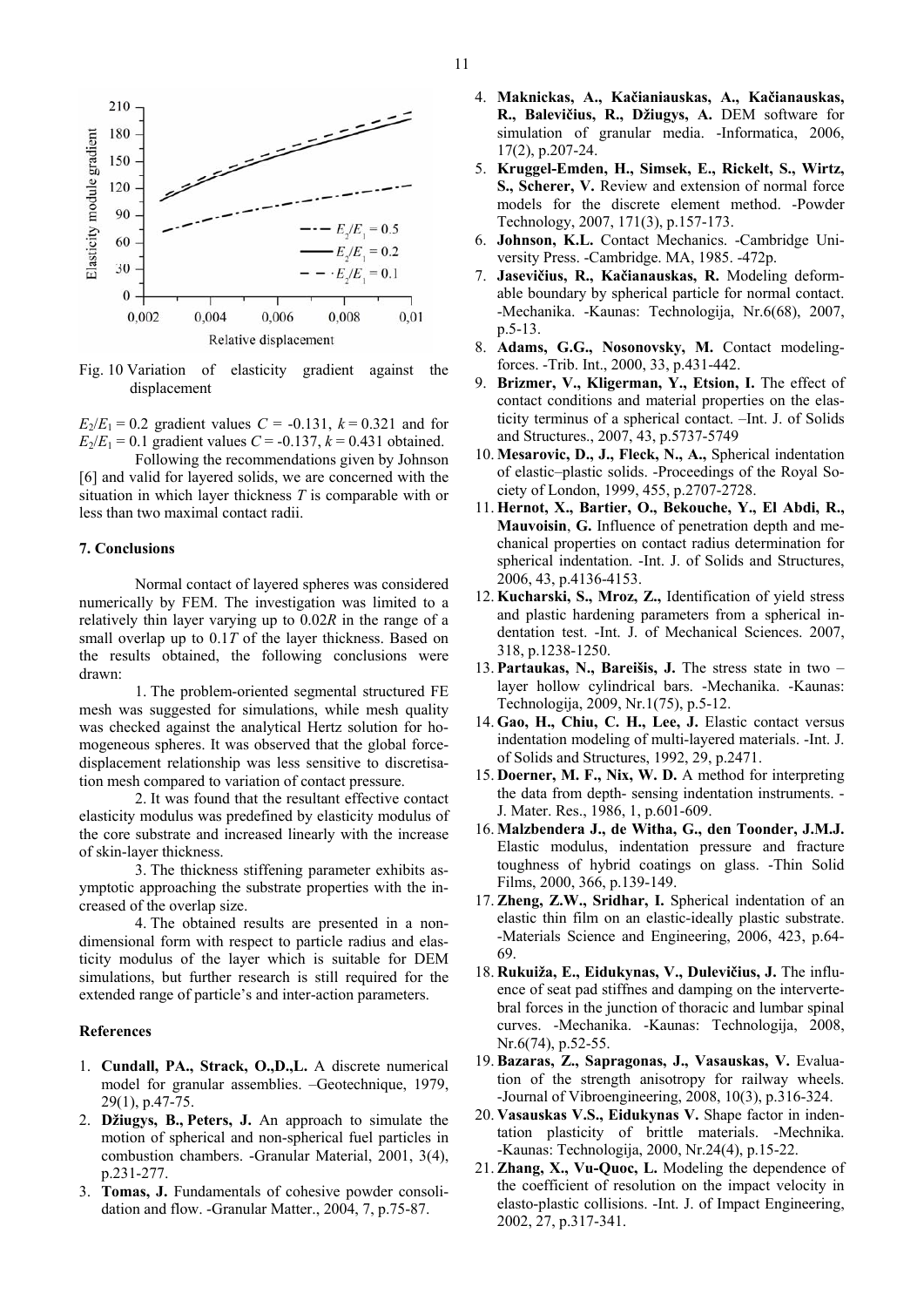

Fig. 10 Variation of elasticity gradient against the displacement

 $E_2/E_1 = 0.2$  gradient values  $C = -0.131$ ,  $k = 0.321$  and for  $E_2/E_1 = 0.1$  gradient values  $C = -0.137$ ,  $k = 0.431$  obtained.

Following the recommendations given by Johnson [6] and valid for layered solids, we are concerned with the situation in which layer thickness *T* is comparable with or less than two maximal contact radii.

#### **7. Conclusions**

Normal contact of layered spheres was considered numerically by FEM. The investigation was limited to a relatively thin layer varying up to 0.02*R* in the range of a small overlap up to 0.1*T* of the layer thickness. Based on the results obtained, the following conclusions were drawn:

1. The problem-oriented segmental structured FE mesh was suggested for simulations, while mesh quality was checked against the analytical Hertz solution for homogeneous spheres. It was observed that the global forcedisplacement relationship was less sensitive to discretisation mesh compared to variation of contact pressure.

2. It was found that the resultant effective contact elasticity modulus was predefined by elasticity modulus of the core substrate and increased linearly with the increase of skin-layer thickness.

3. The thickness stiffening parameter exhibits asymptotic approaching the substrate properties with the increased of the overlap size.

4. The obtained results are presented in a nondimensional form with respect to particle radius and elasticity modulus of the layer which is suitable for DEM simulations, but further research is still required for the extended range of particle's and inter-action parameters.

## **References**

- 1. **Cundall, PA., Strack, O.,D.,L.** A discrete numerical model for granular assemblies. –Geotechnique, 1979, 29(1), p.47-75.
- 2. **Džiugys, B., Peters, J.** An approach to simulate the motion of spherical and non-spherical fuel particles in combustion chambers. -Granular Material, 2001, 3(4), p.231-277.
- 3. **Tomas, J.** Fundamentals of cohesive powder consolidation and flow. -Granular Matter., 2004, 7, p.75-87.
- 4. **Maknickas, A., Kačianiauskas, A., Kačianauskas, R., Balevičius, R., Džiugys, A.** DEM software for simulation of granular media. -Informatica, 2006, 17(2), p.207-24.
- 5. **Kruggel-Emden, H., Simsek, E., Rickelt, S., Wirtz, S., Scherer, V.** Review and extension of normal force models for the discrete element method. -Powder Technology, 2007, 171(3), p.157-173.
- 6. **Johnson, K.L.** Contact Mechanics. -Cambridge University Press. -Cambridge. MA, 1985. -472p.
- 7. **Jasevičius, R., Kačianauskas, R.** Modeling deformable boundary by spherical particle for normal contact. -Mechanika. -Kaunas: Technologija, Nr.6(68), 2007, p.5-13.
- 8. **Adams, G.G., Nosonovsky, M.** Contact modelingforces. -Trib. Int., 2000, 33, p.431-442.
- 9. **Brizmer, V., Kligerman, Y., Etsion, I.** The effect of contact conditions and material properties on the elasticity terminus of a spherical contact. –Int. J. of Solids and Structures., 2007, 43, p.5737-5749
- 10. **Mesarovic, D., J., Fleck, N., A.,** Spherical indentation of elastic–plastic solids. -Proceedings of the Royal Society of London, 1999, 455, p.2707-2728.
- 11. **Hernot, X., Bartier, O., Bekouche, Y., El Abdi, R., Mauvoisin**, **G.** Influence of penetration depth and mechanical properties on contact radius determination for spherical indentation. -Int. J. of Solids and Structures, 2006, 43, p.4136-4153.
- 12. **Kucharski, S., Mroz, Z.,** Identification of yield stress and plastic hardening parameters from a spherical indentation test. -Int. J. of Mechanical Sciences. 2007, 318, p.1238-1250.
- 13. **Partaukas, N., Bareišis, J.** The stress state in two layer hollow cylindrical bars. -Mechanika. -Kaunas: Technologija, 2009, Nr.1(75), p.5-12.
- 14. **Gao, H., Chiu, C. H., Lee, J.** Elastic contact versus indentation modeling of multi-layered materials. -Int. J. of Solids and Structures, 1992, 29, p.2471.
- 15. **Doerner, M. F., Nix, W. D.** A method for interpreting the data from depth- sensing indentation instruments. - J. Mater. Res., 1986, 1, p.601-609.
- 16. **Malzbendera J., de Witha, G., den Toonder, J.M.J.** Elastic modulus, indentation pressure and fracture toughness of hybrid coatings on glass. -Thin Solid Films, 2000, 366, p.139-149.
- 17. **Zheng, Z.W., Sridhar, I.** Spherical indentation of an elastic thin film on an elastic-ideally plastic substrate. -Materials Science and Engineering, 2006, 423, p.64- 69.
- 18. **Rukuiža, E., Eidukynas, V., Dulevičius, J.** The influence of seat pad stiffnes and damping on the intervertebral forces in the junction of thoracic and lumbar spinal curves. -Mechanika. -Kaunas: Technologija, 2008, Nr.6(74), p.52-55.
- 19. **Bazaras, Z., Sapragonas, J., Vasauskas, V.** Evaluation of the strength anisotropy for railway wheels. -Journal of Vibroengineering, 2008, 10(3), p.316-324.
- 20. **Vasauskas V.S., Eidukynas V.** Shape factor in indentation plasticity of brittle materials. -Mechnika. -Kaunas: Technologija, 2000, Nr.24(4), p.15-22.
- 21. **Zhang, X., Vu-Quoc, L.** Modeling the dependence of the coefficient of resolution on the impact velocity in elasto-plastic collisions. -Int. J. of Impact Engineering, 2002, 27, p.317-341.